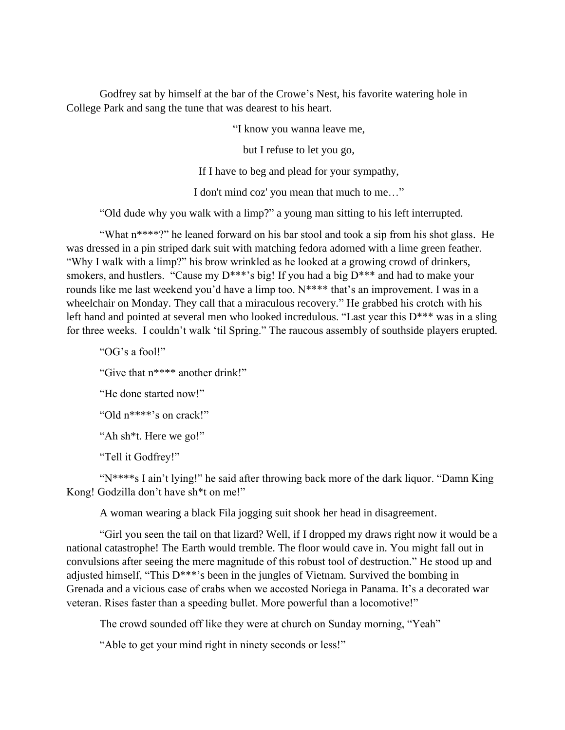Godfrey sat by himself at the bar of the Crowe's Nest, his favorite watering hole in College Park and sang the tune that was dearest to his heart.

"I know you wanna leave me,

but I refuse to let you go,

If I have to beg and plead for your sympathy,

I don't mind coz' you mean that much to me…"

"Old dude why you walk with a limp?" a young man sitting to his left interrupted.

"What n\*\*\*\*?" he leaned forward on his bar stool and took a sip from his shot glass. He was dressed in a pin striped dark suit with matching fedora adorned with a lime green feather. "Why I walk with a limp?" his brow wrinkled as he looked at a growing crowd of drinkers, smokers, and hustlers. "Cause my  $D^{***}$ 's big! If you had a big  $D^{***}$  and had to make your rounds like me last weekend you'd have a limp too. N\*\*\*\* that's an improvement. I was in a wheelchair on Monday. They call that a miraculous recovery." He grabbed his crotch with his left hand and pointed at several men who looked incredulous. "Last year this  $D^{***}$  was in a sling for three weeks. I couldn't walk 'til Spring." The raucous assembly of southside players erupted.

"OG's a fool!"

"Give that n\*\*\*\* another drink!"

"He done started now!"

"Old n\*\*\*\*'s on crack!"

"Ah sh\*t. Here we go!"

"Tell it Godfrey!"

"N\*\*\*\*s I ain't lying!" he said after throwing back more of the dark liquor. "Damn King Kong! Godzilla don't have sh\*t on me!"

A woman wearing a black Fila jogging suit shook her head in disagreement.

"Girl you seen the tail on that lizard? Well, if I dropped my draws right now it would be a national catastrophe! The Earth would tremble. The floor would cave in. You might fall out in convulsions after seeing the mere magnitude of this robust tool of destruction." He stood up and adjusted himself, "This D\*\*\*'s been in the jungles of Vietnam. Survived the bombing in Grenada and a vicious case of crabs when we accosted Noriega in Panama. It's a decorated war veteran. Rises faster than a speeding bullet. More powerful than a locomotive!"

The crowd sounded off like they were at church on Sunday morning, "Yeah"

"Able to get your mind right in ninety seconds or less!"